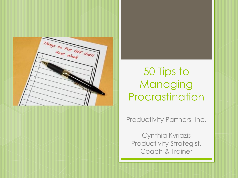

# 50 Tips to Managing Procrastination

Productivity Partners, Inc.

Cynthia Kyriazis Productivity Strategist, Coach & Trainer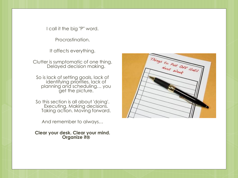I call it the big "P" word.

Procrastination.

It affects everything.

Clutter is symptomatic of one thing. Delayed decision making.

So is lack of setting goals, lack of identifying priorities, lack of planning and scheduling… you get the picture.

So this section is all about 'doing'. Executing. Making decisions. Taking action. Moving forward.

And remember to always…

**Clear your desk. Clear your mind. Organize it**

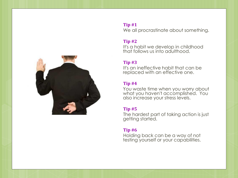

#### **Tip #1** We all procrastinate about something.

#### **Tip #2**

It's a habit we develop in childhood that follows us into adulthood.

#### **Tip #3**

It's an ineffective habit that can be replaced with an effective one.

## **Tip #4**

You waste time when you worry about what you haven't accomplished. You also increase your stress levels.

#### **Tip #5**

The hardest part of taking action is just getting started.

## **Tip #6**

Holding back can be a way of not testing yourself or your capabilities.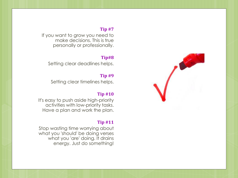If you want to grow you need to make decisions. This is true personally or professionally.

#### **Tip#8**

Setting clear deadlines helps.

#### **Tip #9**

Setting clear timelines helps.

#### **Tip #10**

It's easy to push aside high-priority activities with low-priority tasks. Have a plan and work the plan.

#### **Tip #11**

Stop wasting time worrying about what you 'should' be doing verses what you 'are' doing. It drains energy. Just do something!

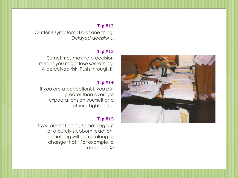Clutter is symptomatic of one thing. *Delayed decisions*.

#### **Tip #13**

Sometimes making a decision means you might lose something. A perceived risk. Push through it.

#### **Tip #14**

If you are a perfectionist, you put greater than average expectations on yourself and others. Lighten up.

#### **Tip #15**

If you are not doing something out of a purely stubborn reaction, something will come along to change that. For example, a deadline. ©

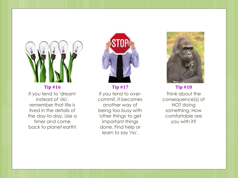

## **Tip #16** If you tend to 'dream' instead of 'do', remember that life is lived in the details of the day -to -day. Use a timer and come back to planet earth!



**Tip #17** If you tend to over commit, it becomes another way of being too busy with 'other things' to get important things done. Find help or learn to say 'no'.



**Tip #18** Think about the consequence(s) of NOT doing something. How comfortable are you with it?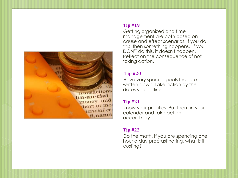

Getting organized and time management are both based on cause and effect scenarios. If you do this, then something happens. If you DON'T do this, it doesn't happen. Reflect on the consequence of not taking action.

#### **Tip #20**

Have very specific goals that are written down. Take action by the dates you outline.

#### **Tip #21**

Know your priorities. Put them in your calendar and take action accordingly.

## **Tip #22**

Do the math. If you are spending one hour a day procrastinating, what is it costing?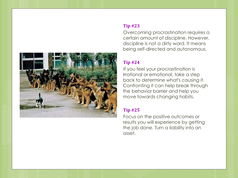

Overcoming procrastination requires a certain amount of discipline. However, discipline is not a dirty word. It means being self-directed and autonomous.

## **Tip #24**

If you feel your procrastination is irrational or emotional, take a step back to determine what's causing it. Confronting it can help break through the behavior barrier and help you move towards changing habits.

#### **Tip #25**

Focus on the positive outcomes or results you will experience by getting the job done. Turn a liability into an asset.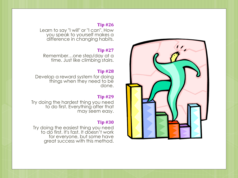Learn to say "I will" or "I can". How you speak to yourself makes a difference in changing habits.

## **Tip #27**

Remember…one step/day at a time. Just like climbing stairs.

#### **Tip #28**

Develop a reward system for doing things when they need to be done.

## **Tip #29**

Try doing the hardest thing you need to do first. Everything after that may seem easy.

#### **Tip #30**

Try doing the easiest thing you need to do first. It's fast. It doesn't work for everyone, but some have great success with this method.

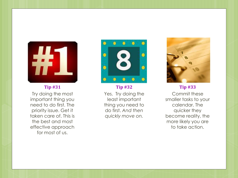

Try doing the most important thing you need to do first. The priority issue. Get it taken care of. This is the best and most effective approach for most of us.



**Tip #32** Yes. Try doing the least important thing you need to do first. *And then quickly move on.*



**Tip #33** Commit these smaller tasks to your calendar. The quicker they become reality, the more likely you are to take action.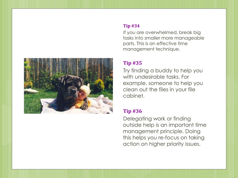

If you are overwhelmed, break big tasks into smaller more manageable parts. This is an effective time management technique.

## **Tip #35**

Try finding a buddy to help you with undesirable tasks. For example, someone to help you clean out the files in your file cabinet.

# **Tip #36**

Delegating work or finding outside help is an important time management principle. Doing this helps you re-focus on taking action on higher priority issues.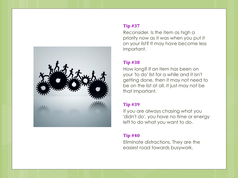

Reconsider. Is the item as high a priority now as it was when you put it on your list? It may have become less important.

## **Tip #38**

How long? If an item has been on your 'to do' list for a while and it isn't getting done, then it may not need to be on the list at all. It just may not be that important.

## **Tip #39**

If you are always chasing what you 'didn't do', you have no time or energy left to do what you want to do.

## **Tip #40**

Eliminate distractions. They are the easiest road towards busywork.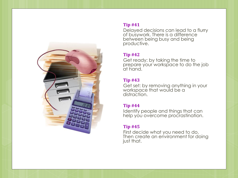

Delayed decisions can lead to a flurry of busywork. There is a difference between being busy and being productive.

#### **Tip #42**

Get ready: by taking the time to prepare your workspace to do the job at hand.

#### **Tip #43**

Get set: by removing anything in your workspace that would be a distraction.

## **Tip #44**

Identify people and things that can help you overcome procrastination.

## **Tip #45**

First decide what you need to do. Then create an environment for doing just that.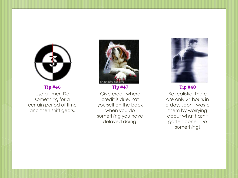

**Tip #46** Use a timer. Do something for a certain period of time and then shift gears.



**Tip #47** Give credit where credit is due. Pat yourself on the back when you do something you have delayed doing.



**Tip #48** Be realistic. There are only 24 hours in a day…don't waste them by worrying about what hasn't gotten done. Do something!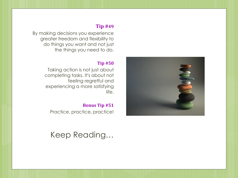By making decisions you experience greater freedom and flexibility to do things you want and not just the things you need to do.

#### **Tip #50**

Taking action is not just about completing tasks. It's about not feeling regretful and experiencing a more satisfying life.

#### **Bonus Tip #51**

Practice, practice, practice!

Keep Reading…